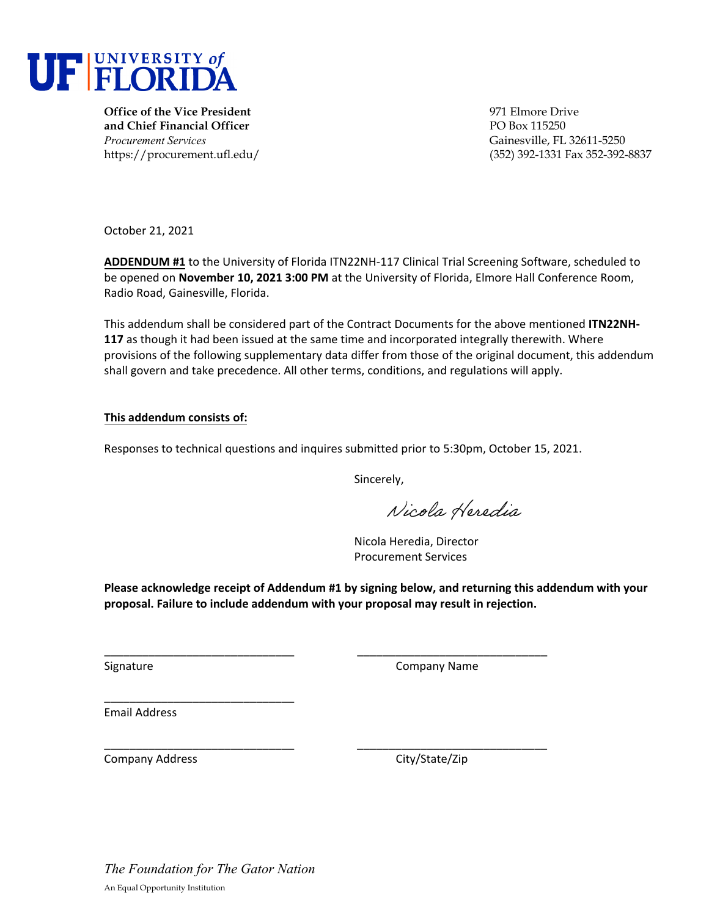

**Office of the Vice President** 971 Elmore Drive **and Chief Financial Officer PO Box 115250** *Procurement Services* Gainesville, FL 32611-5250

https://procurement.ufl.edu/ (352) 392-1331 Fax 352-392-8837

October 21, 2021

**ADDENDUM #1** to the University of Florida ITN22NH‐117 Clinical Trial Screening Software, scheduled to be opened on **November 10, 2021 3:00 PM** at the University of Florida, Elmore Hall Conference Room, Radio Road, Gainesville, Florida.

This addendum shall be considered part of the Contract Documents for the above mentioned **ITN22NH‐ 117** as though it had been issued at the same time and incorporated integrally therewith. Where provisions of the following supplementary data differ from those of the original document, this addendum shall govern and take precedence. All other terms, conditions, and regulations will apply.

## **This addendum consists of:**

Responses to technical questions and inquires submitted prior to 5:30pm, October 15, 2021.

\_\_\_\_\_\_\_\_\_\_\_\_\_\_\_\_\_\_\_\_\_\_\_\_\_\_\_\_\_\_ \_\_\_\_\_\_\_\_\_\_\_\_\_\_\_\_\_\_\_\_\_\_\_\_\_\_\_\_\_\_

\_\_\_\_\_\_\_\_\_\_\_\_\_\_\_\_\_\_\_\_\_\_\_\_\_\_\_\_\_\_ \_\_\_\_\_\_\_\_\_\_\_\_\_\_\_\_\_\_\_\_\_\_\_\_\_\_\_\_\_\_

Sincerely,

Nicola Heredia

Nicola Heredia, Director Procurement Services

**Please acknowledge receipt of Addendum #1 by signing below, and returning this addendum with your proposal. Failure to include addendum with your proposal may result in rejection.**

Signature Company Name

Email Address

Company Address Company Address City/State/Zip

\_\_\_\_\_\_\_\_\_\_\_\_\_\_\_\_\_\_\_\_\_\_\_\_\_\_\_\_\_\_